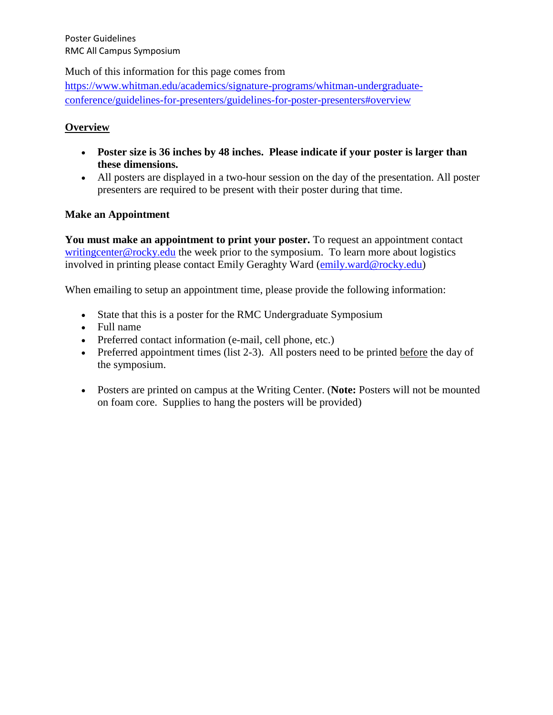Much of this information for this page comes from

[https://www.whitman.edu/academics/signature-programs/whitman-undergraduate](https://www.whitman.edu/academics/signature-programs/whitman-undergraduate-conference/guidelines-for-presenters/guidelines-for-poster-presenters#overview)[conference/guidelines-for-presenters/guidelines-for-poster-presenters#overview](https://www.whitman.edu/academics/signature-programs/whitman-undergraduate-conference/guidelines-for-presenters/guidelines-for-poster-presenters#overview)

### **Overview**

- **Poster size is 36 inches by 48 inches. Please indicate if your poster is larger than these dimensions.**
- All posters are displayed in a two-hour session on the day of the presentation. All poster presenters are required to be present with their poster during that time.

#### **Make an Appointment**

**You must make an appointment to print your poster.** To request an appointment contact [writingcenter@rocky.edu](mailto:writingcenter@rocky.edu) the week prior to the symposium. To learn more about logistics involved in printing please contact Emily Geraghty Ward [\(emily.ward@rocky.edu\)](mailto:emily.ward@rocky.edu)

When emailing to setup an appointment time, please provide the following information:

- State that this is a poster for the RMC Undergraduate Symposium
- Full name
- Preferred contact information (e-mail, cell phone, etc.)
- Preferred appointment times (list 2-3). All posters need to be printed before the day of the symposium.
- Posters are printed on campus at the Writing Center. (**Note:** Posters will not be mounted on foam core. Supplies to hang the posters will be provided)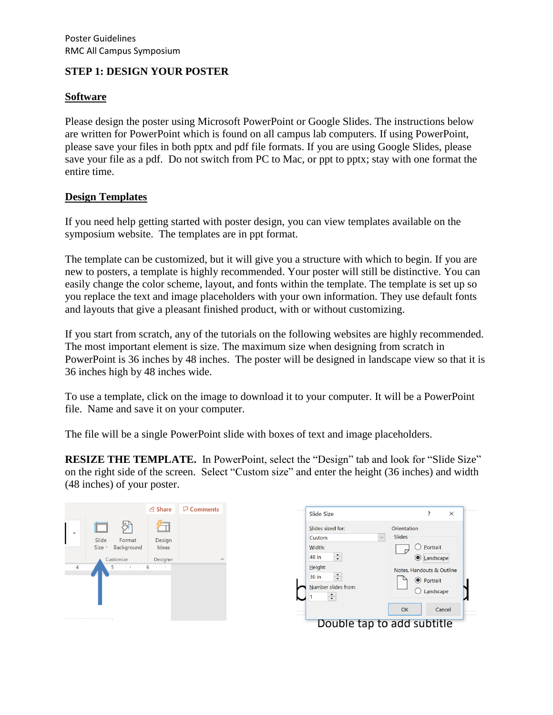# **STEP 1: DESIGN YOUR POSTER**

### **Software**

Please design the poster using Microsoft PowerPoint or Google Slides. The instructions below are written for PowerPoint which is found on all campus lab computers. If using PowerPoint, please save your files in both pptx and pdf file formats. If you are using Google Slides, please save your file as a pdf. Do not switch from PC to Mac, or ppt to pptx; stay with one format the entire time.

# **Design Templates**

If you need help getting started with poster design, you can view templates available on the symposium website. The templates are in ppt format.

The template can be customized, but it will give you a structure with which to begin. If you are new to posters, a template is highly recommended. Your poster will still be distinctive. You can easily change the color scheme, layout, and fonts within the template. The template is set up so you replace the text and image placeholders with your own information. They use default fonts and layouts that give a pleasant finished product, with or without customizing.

If you start from scratch, any of the tutorials on the following websites are highly recommended. The most important element is size. The maximum size when designing from scratch in PowerPoint is 36 inches by 48 inches. The poster will be designed in landscape view so that it is 36 inches high by 48 inches wide.

To use a template, click on the image to download it to your computer. It will be a PowerPoint file. Name and save it on your computer.

The file will be a single PowerPoint slide with boxes of text and image placeholders.

**RESIZE THE TEMPLATE.** In PowerPoint, select the "Design" tab and look for "Slide Size" on the right side of the screen. Select "Custom size" and enter the height (36 inches) and width (48 inches) of your poster.

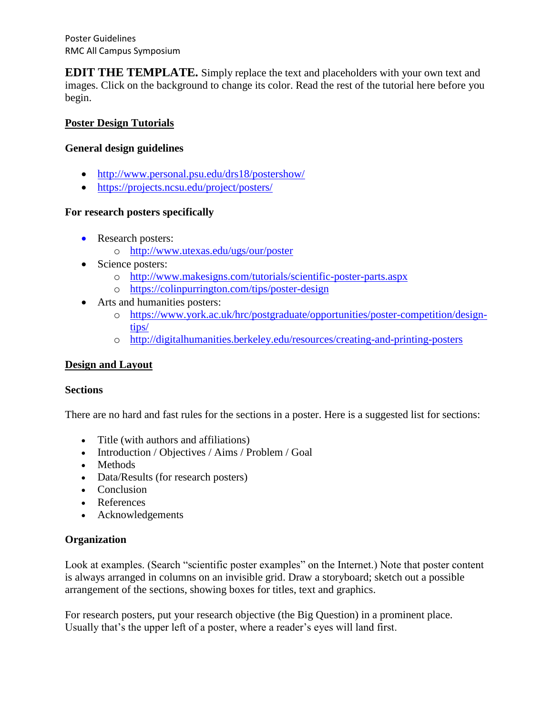Poster Guidelines RMC All Campus Symposium

**EDIT THE TEMPLATE.** Simply replace the text and placeholders with your own text and images. Click on the background to change its color. Read the rest of the tutorial here before you begin.

# **Poster Design Tutorials**

# **General design guidelines**

- <http://www.personal.psu.edu/drs18/postershow/>
- <https://projects.ncsu.edu/project/posters/>

# **For research posters specifically**

- Research posters:
	- o <http://www.utexas.edu/ugs/our/poster>
- Science posters:
	- o <http://www.makesigns.com/tutorials/scientific-poster-parts.aspx>
	- o <https://colinpurrington.com/tips/poster-design>
- Arts and humanities posters:
	- o [https://www.york.ac.uk/hrc/postgraduate/opportunities/poster-competition/design](https://www.york.ac.uk/hrc/postgraduate/opportunities/poster-competition/design-tips/)[tips/](https://www.york.ac.uk/hrc/postgraduate/opportunities/poster-competition/design-tips/)
	- o <http://digitalhumanities.berkeley.edu/resources/creating-and-printing-posters>

# **Design and Layout**

# **Sections**

There are no hard and fast rules for the sections in a poster. Here is a suggested list for sections:

- Title (with authors and affiliations)
- Introduction / Objectives / Aims / Problem / Goal
- Methods
- Data/Results (for research posters)
- Conclusion
- References
- Acknowledgements

# **Organization**

Look at examples. (Search "scientific poster examples" on the Internet.) Note that poster content is always arranged in columns on an invisible grid. Draw a storyboard; sketch out a possible arrangement of the sections, showing boxes for titles, text and graphics.

For research posters, put your research objective (the Big Question) in a prominent place. Usually that's the upper left of a poster, where a reader's eyes will land first.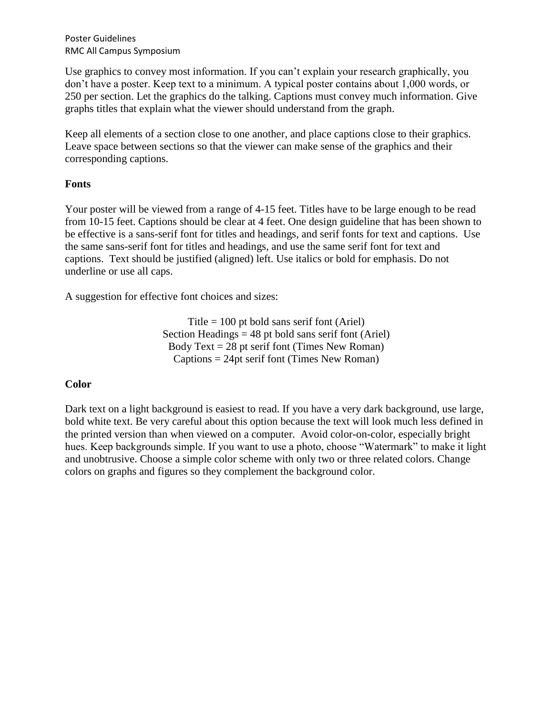Poster Guidelines RMC All Campus Symposium

Use graphics to convey most information. If you can't explain your research graphically, you don't have a poster. Keep text to a minimum. A typical poster contains about 1,000 words, or 250 per section. Let the graphics do the talking. Captions must convey much information. Give graphs titles that explain what the viewer should understand from the graph.

Keep all elements of a section close to one another, and place captions close to their graphics. Leave space between sections so that the viewer can make sense of the graphics and their corresponding captions.

# **Fonts**

Your poster will be viewed from a range of 4-15 feet. Titles have to be large enough to be read from 10-15 feet. Captions should be clear at 4 feet. One design guideline that has been shown to be effective is a sans-serif font for titles and headings, and serif fonts for text and captions. Use the same sans-serif font for titles and headings, and use the same serif font for text and captions. Text should be justified (aligned) left. Use italics or bold for emphasis. Do not underline or use all caps.

A suggestion for effective font choices and sizes:

Title  $= 100$  pt bold sans serif font (Ariel) Section Headings  $= 48$  pt bold sans serif font (Ariel) Body Text  $= 28$  pt serif font (Times New Roman)  $C$ aptions = 24pt serif font (Times New Roman)

# **Color**

Dark text on a light background is easiest to read. If you have a very dark background, use large, bold white text. Be very careful about this option because the text will look much less defined in the printed version than when viewed on a computer. Avoid color-on-color, especially bright hues. Keep backgrounds simple. If you want to use a photo, choose "Watermark" to make it light and unobtrusive. Choose a simple color scheme with only two or three related colors. Change colors on graphs and figures so they complement the background color.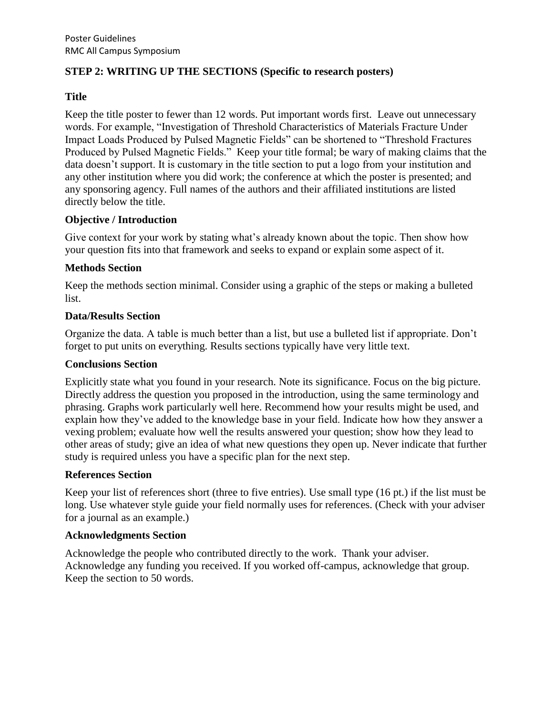# **STEP 2: WRITING UP THE SECTIONS (Specific to research posters)**

# **Title**

Keep the title poster to fewer than 12 words. Put important words first. Leave out unnecessary words. For example, "Investigation of Threshold Characteristics of Materials Fracture Under Impact Loads Produced by Pulsed Magnetic Fields" can be shortened to "Threshold Fractures Produced by Pulsed Magnetic Fields." Keep your title formal; be wary of making claims that the data doesn't support. It is customary in the title section to put a logo from your institution and any other institution where you did work; the conference at which the poster is presented; and any sponsoring agency. Full names of the authors and their affiliated institutions are listed directly below the title.

# **Objective / Introduction**

Give context for your work by stating what's already known about the topic. Then show how your question fits into that framework and seeks to expand or explain some aspect of it.

# **Methods Section**

Keep the methods section minimal. Consider using a graphic of the steps or making a bulleted list.

#### **Data/Results Section**

Organize the data. A table is much better than a list, but use a bulleted list if appropriate. Don't forget to put units on everything. Results sections typically have very little text.

#### **Conclusions Section**

Explicitly state what you found in your research. Note its significance. Focus on the big picture. Directly address the question you proposed in the introduction, using the same terminology and phrasing. Graphs work particularly well here. Recommend how your results might be used, and explain how they've added to the knowledge base in your field. Indicate how how they answer a vexing problem; evaluate how well the results answered your question; show how they lead to other areas of study; give an idea of what new questions they open up. Never indicate that further study is required unless you have a specific plan for the next step.

# **References Section**

Keep your list of references short (three to five entries). Use small type (16 pt.) if the list must be long. Use whatever style guide your field normally uses for references. (Check with your adviser for a journal as an example.)

# **Acknowledgments Section**

Acknowledge the people who contributed directly to the work. Thank your adviser. Acknowledge any funding you received. If you worked off-campus, acknowledge that group. Keep the section to 50 words.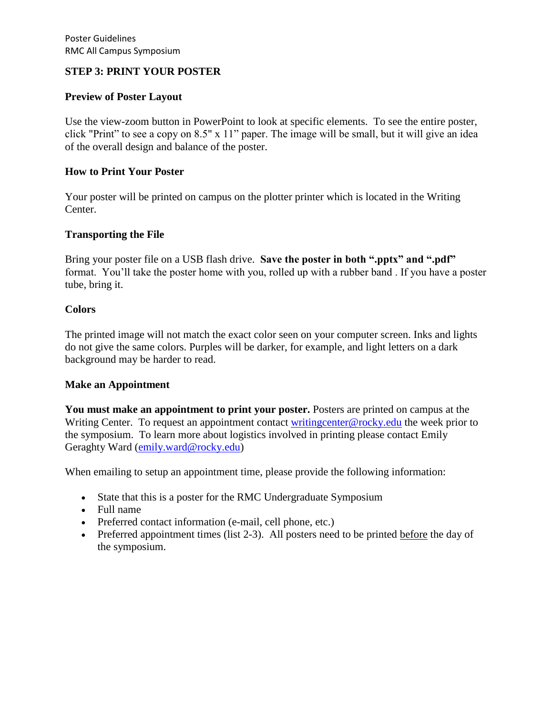## **STEP 3: PRINT YOUR POSTER**

#### **Preview of Poster Layout**

Use the view-zoom button in PowerPoint to look at specific elements. To see the entire poster, click "Print" to see a copy on 8.5" x 11" paper. The image will be small, but it will give an idea of the overall design and balance of the poster.

#### **How to Print Your Poster**

Your poster will be printed on campus on the plotter printer which is located in the Writing Center.

#### **Transporting the File**

Bring your poster file on a USB flash drive. **Save the poster in both ".pptx" and ".pdf"** format. You'll take the poster home with you, rolled up with a rubber band . If you have a poster tube, bring it.

#### **Colors**

The printed image will not match the exact color seen on your computer screen. Inks and lights do not give the same colors. Purples will be darker, for example, and light letters on a dark background may be harder to read.

#### **Make an Appointment**

**You must make an appointment to print your poster.** Posters are printed on campus at the Writing Center. To request an appointment contact [writingcenter@rocky.edu](mailto:writingcenter@rocky.edu) the week prior to the symposium. To learn more about logistics involved in printing please contact Emily Geraghty Ward [\(emily.ward@rocky.edu\)](mailto:emily.ward@rocky.edu)

When emailing to setup an appointment time, please provide the following information:

- State that this is a poster for the RMC Undergraduate Symposium
- Full name
- Preferred contact information (e-mail, cell phone, etc.)
- Preferred appointment times (list 2-3). All posters need to be printed before the day of the symposium.